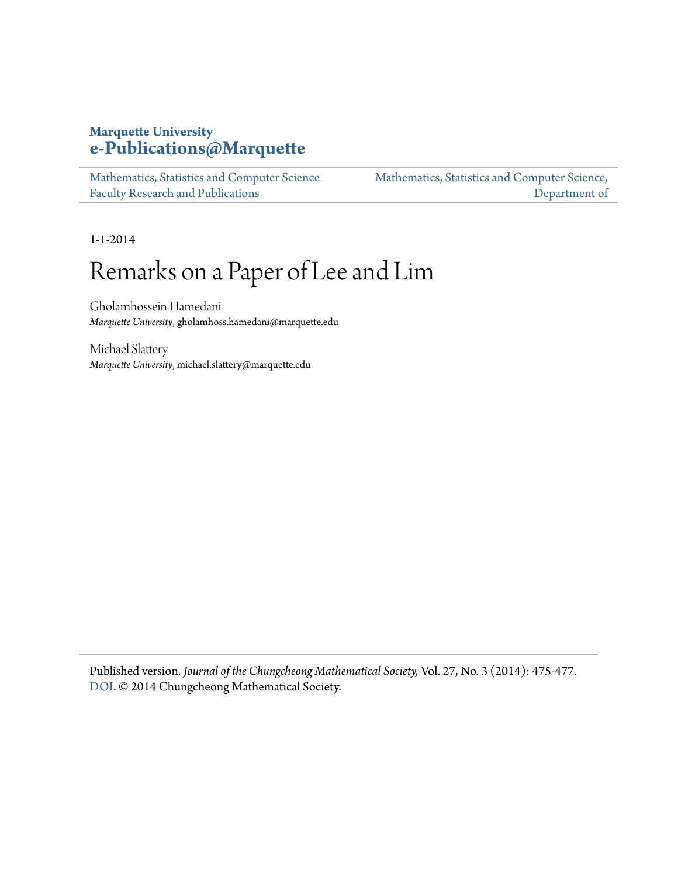# **Marquette University [e-Publications@Marquette](https://epublications.marquette.edu)**

[Mathematics, Statistics and Computer Science](https://epublications.marquette.edu/mscs_fac) [Faculty Research and Publications](https://epublications.marquette.edu/mscs_fac) [Mathematics, Statistics and Computer Science,](https://epublications.marquette.edu/mscs) [Department of](https://epublications.marquette.edu/mscs)

1-1-2014

# Remarks on a Paper of Lee and Lim

Gholamhossein Hamedani *Marquette University*, gholamhoss.hamedani@marquette.edu

Michael Slattery *Marquette University*, michael.slattery@marquette.edu

Published version. *Journal of the Chungcheong Mathematical Society,* Vol. 27, No. 3 (2014): 475-477. [DOI](http://dx.doi.org/10.14403/jcms.2014.27.3.475). © 2014 Chungcheong Mathematical Society.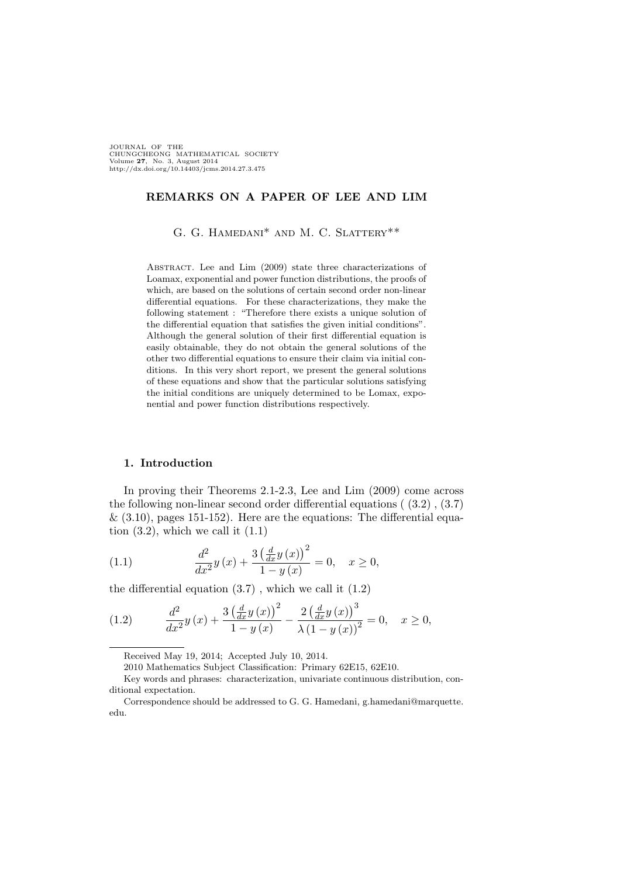JOURNAL OF THE CHUNGCHEONG MATHEMATICAL SOCIETY Volume 27, No. 3, August 2014 http://dx.doi.org/10.14403/jcms.2014.27.3.475

### REMARKS ON A PAPER OF LEE AND LIM

G. G. HAMEDANI\* AND M. C. SLATTERY\*\*

ABSTRACT. Lee and Lim (2009) state three characterizations of Loamax, exponential and power function distributions, the proofs of which, are based on the solutions of certain second order non-linear differential equations. For these characterizations, they make the following statement : "Therefore there exists a unique solution of the differential equation that satisfies the given initial conditions". Although the general solution of their first differential equation is easily obtainable, they do not obtain the general solutions of the other two differential equations to ensure their claim via initial conditions. In this very short report, we present the general solutions of these equations and show that the particular solutions satisfying the initial conditions are uniquely determined to be Lomax, exponential and power function distributions respectively.

#### 1. Introduction

In proving their Theorems 2.1-2.3, Lee and Lim (2009) come across the following non-linear second order differential equations ( (3.2) , (3.7)  $\&$  (3.10), pages 151-152). Here are the equations: The differential equation  $(3.2)$ , which we call it  $(1.1)$ 

(1.1) 
$$
\frac{d^2}{dx^2}y(x) + \frac{3\left(\frac{d}{dx}y(x)\right)^2}{1-y(x)} = 0, \quad x \ge 0,
$$

the differential equation  $(3.7)$ , which we call it  $(1.2)$ 

(1.2) 
$$
\frac{d^2}{dx^2}y(x) + \frac{3(\frac{d}{dx}y(x))^2}{1-y(x)} - \frac{2(\frac{d}{dx}y(x))^3}{\lambda(1-y(x))^2} = 0, \quad x \ge 0,
$$

Received May 19, 2014; Accepted July 10, 2014.

<sup>2010</sup> Mathematics Subject Classification: Primary 62E15, 62E10.

Key words and phrases: characterization, univariate continuous distribution, conditional expectation.

Correspondence should be addressed to G. G. Hamedani, g.hamedani@marquette. edu.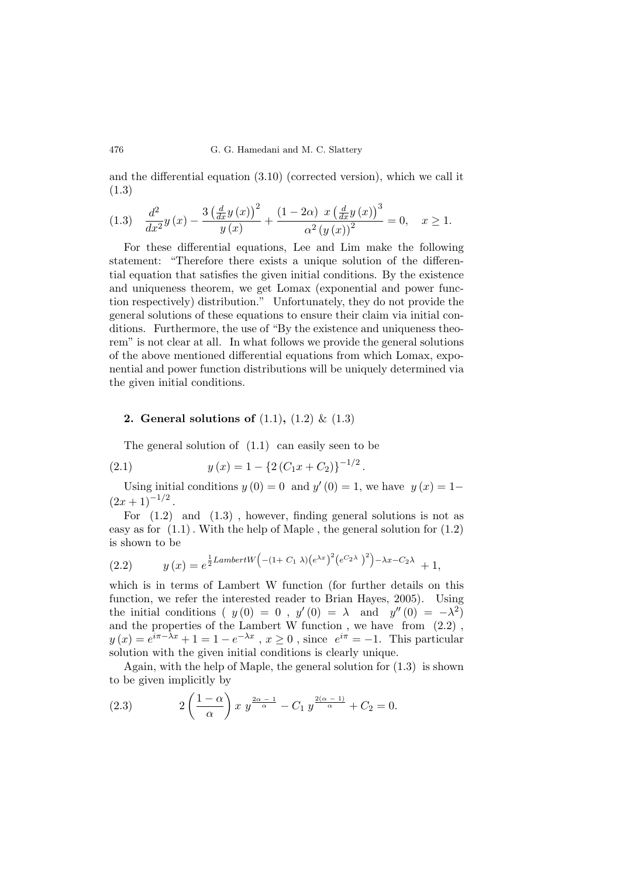and the differential equation (3.10) (corrected version), which we call it (1.3)

$$
(1.3) \quad \frac{d^2}{dx^2}y(x) - \frac{3\left(\frac{d}{dx}y(x)\right)^2}{y(x)} + \frac{(1-2\alpha)\left(x\left(\frac{d}{dx}y(x)\right)^3}{\alpha^2\left(y(x)\right)^2} = 0, \quad x \ge 1.
$$

For these differential equations, Lee and Lim make the following statement: "Therefore there exists a unique solution of the differential equation that satisfies the given initial conditions. By the existence and uniqueness theorem, we get Lomax (exponential and power function respectively) distribution." Unfortunately, they do not provide the general solutions of these equations to ensure their claim via initial conditions. Furthermore, the use of "By the existence and uniqueness theorem" is not clear at all. In what follows we provide the general solutions of the above mentioned differential equations from which Lomax, exponential and power function distributions will be uniquely determined via the given initial conditions.

## **2.** General solutions of  $(1.1)$ ,  $(1.2)$  &  $(1.3)$

The general solution of  $(1.1)$  can easily seen to be

(2.1) 
$$
y(x) = 1 - \left\{2\left(C_1x + C_2\right)\right\}^{-1/2}
$$

Using initial conditions  $y(0) = 0$  and  $y'(0) = 1$ , we have  $y(x) = 1$  $(2x+1)^{-1/2}$ .

.

For  $(1.2)$  and  $(1.3)$ , however, finding general solutions is not as easy as for  $(1.1)$ . With the help of Maple, the general solution for  $(1.2)$ is shown to be ´

(2.2) 
$$
y(x) = e^{\frac{1}{2}LambertW\left(-(1+C_1\lambda)\left(e^{\lambda x}\right)^2\left(e^{C_2\lambda}\right)^2\right)-\lambda x-C_2\lambda} + 1,
$$

which is in terms of Lambert W function (for further details on this function, we refer the interested reader to Brian Hayes, 2005). Using the initial conditions ( $y(0) = 0$ ,  $y'(0) = \lambda$  and  $y''(0) = -\lambda^2$ ) and the properties of the Lambert W function , we have from (2.2) ,  $y(x) = e^{i\pi - \lambda x} + 1 = 1 - e^{-\lambda x}$ ,  $x \ge 0$ , since  $e^{i\pi} = -1$ . This particular solution with the given initial conditions is clearly unique.

Again, with the help of Maple, the general solution for (1.3) is shown to be given implicitly by  $\frac{1}{\sqrt{2}}$ 

(2.3) 
$$
2\left(\frac{1-\alpha}{\alpha}\right)x y^{\frac{2\alpha-1}{\alpha}} - C_1 y^{\frac{2(\alpha-1)}{\alpha}} + C_2 = 0.
$$